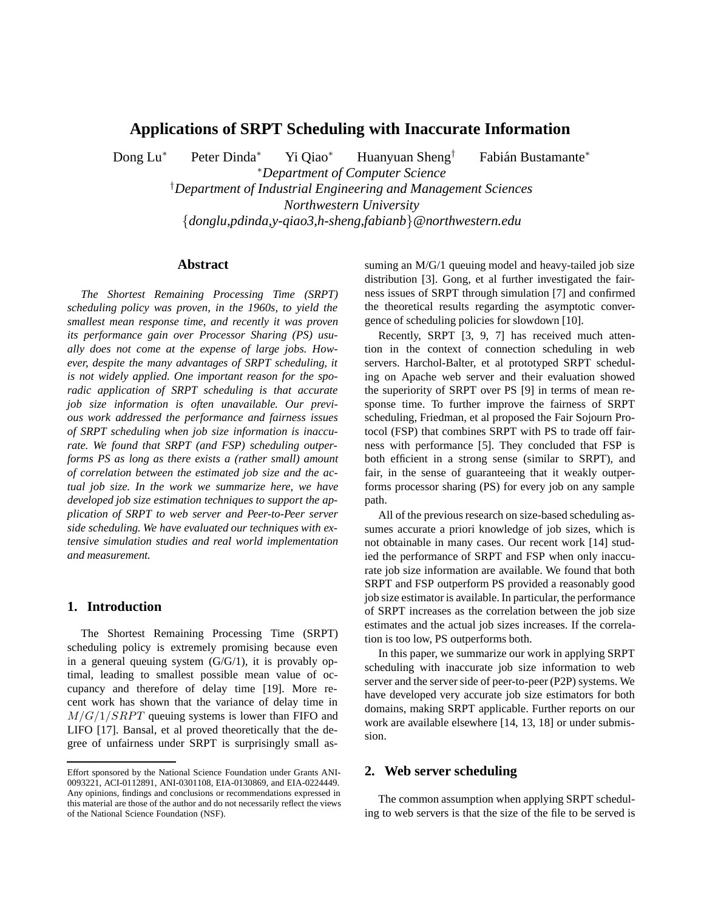# **Applications of SRPT Scheduling with Inaccurate Information**

Dong Lu<sup>∗</sup> Peter Dinda<sup>∗</sup> Yi Qiao<sup>∗</sup> Huanyuan Sheng<sup>†</sup> Fabián Bustamante<sup>∗</sup>

<sup>∗</sup>*Department of Computer Science* † *Department of Industrial Engineering and Management Sciences Northwestern University*

*{donglu,pdinda,y-qiao3,h-sheng,fabianb}@northwestern.edu*

# **Abstract**

*The Shortest Remaining Processing Time (SRPT) scheduling policy was proven, in the 1960s, to yield the smallest mean response time, and recently it was proven its performance gain over Processor Sharing (PS) usually does not come at the expense of large jobs. However, despite the many advantages of SRPT scheduling, it is not widely applied. One important reason for the sporadic application of SRPT scheduling is that accurate job size information is often unavailable. Our previous work addressed the performance and fairness issues of SRPT scheduling when job size information is inaccurate. We found that SRPT (and FSP) scheduling outperforms PS as long as there exists a (rather small) amount of correlation between the estimated job size and the actual job size. In the work we summarize here, we have developed job size estimation techniques to support the application of SRPT to web server and Peer-to-Peer server side scheduling. We have evaluated our techniques with extensive simulation studies and real world implementation and measurement.*

## **1. Introduction**

The Shortest Remaining Processing Time (SRPT) scheduling policy is extremely promising because even in a general queuing system  $(G/G/1)$ , it is provably optimal, leading to smallest possible mean value of occupancy and therefore of delay time [19]. More recent work has shown that the variance of delay time in  $M/G/1/SRPT$  queuing systems is lower than FIFO and LIFO [17]. Bansal, et al proved theoretically that the degree of unfairness under SRPT is surprisingly small assuming an M/G/1 queuing model and heavy-tailed job size distribution [3]. Gong, et al further investigated the fairness issues of SRPT through simulation [7] and confirmed the theoretical results regarding the asymptotic convergence of scheduling policies for slowdown [10].

Recently, SRPT [3, 9, 7] has received much attention in the context of connection scheduling in web servers. Harchol-Balter, et al prototyped SRPT scheduling on Apache web server and their evaluation showed the superiority of SRPT over PS [9] in terms of mean response time. To further improve the fairness of SRPT scheduling, Friedman, et al proposed the Fair Sojourn Protocol (FSP) that combines SRPT with PS to trade off fairness with performance [5]. They concluded that FSP is both efficient in a strong sense (similar to SRPT), and fair, in the sense of guaranteeing that it weakly outperforms processor sharing (PS) for every job on any sample path.

All of the previous research on size-based scheduling assumes accurate a priori knowledge of job sizes, which is not obtainable in many cases. Our recent work [14] studied the performance of SRPT and FSP when only inaccurate job size information are available. We found that both SRPT and FSP outperform PS provided a reasonably good job size estimator is available. In particular, the performance of SRPT increases as the correlation between the job size estimates and the actual job sizes increases. If the correlation is too low, PS outperforms both.

In this paper, we summarize our work in applying SRPT scheduling with inaccurate job size information to web server and the server side of peer-to-peer (P2P) systems. We have developed very accurate job size estimators for both domains, making SRPT applicable. Further reports on our work are available elsewhere [14, 13, 18] or under submission.

## **2. Web server scheduling**

The common assumption when applying SRPT scheduling to web servers is that the size of the file to be served is

Effort sponsored by the National Science Foundation under Grants ANI-0093221, ACI-0112891, ANI-0301108, EIA-0130869, and EIA-0224449. Any opinions, findings and conclusions or recommendations expressed in this material are those of the author and do not necessarily reflect the views of the National Science Foundation (NSF).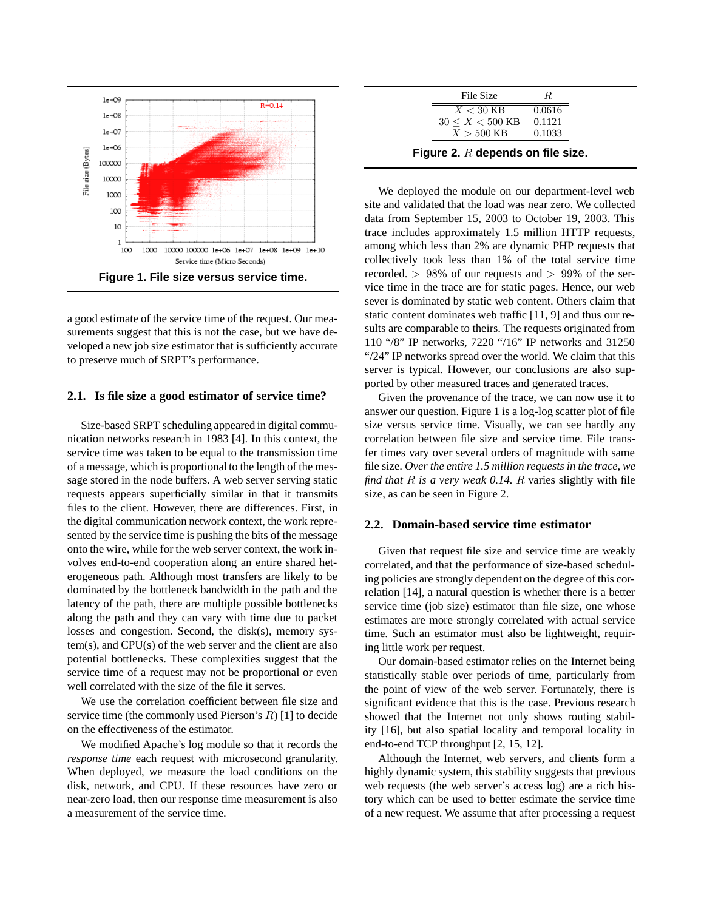

a good estimate of the service time of the request. Our measurements suggest that this is not the case, but we have developed a new job size estimator that is sufficiently accurate to preserve much of SRPT's performance.

#### **2.1. Is file size a good estimator of service time?**

Size-based SRPT scheduling appeared in digital communication networks research in 1983 [4]. In this context, the service time was taken to be equal to the transmission time of a message, which is proportional to the length of the message stored in the node buffers. A web server serving static requests appears superficially similar in that it transmits files to the client. However, there are differences. First, in the digital communication network context, the work represented by the service time is pushing the bits of the message onto the wire, while for the web server context, the work involves end-to-end cooperation along an entire shared heterogeneous path. Although most transfers are likely to be dominated by the bottleneck bandwidth in the path and the latency of the path, there are multiple possible bottlenecks along the path and they can vary with time due to packet losses and congestion. Second, the disk(s), memory system(s), and CPU(s) of the web server and the client are also potential bottlenecks. These complexities suggest that the service time of a request may not be proportional or even well correlated with the size of the file it serves.

We use the correlation coefficient between file size and service time (the commonly used Pierson's *R*) [1] to decide on the effectiveness of the estimator.

We modified Apache's log module so that it records the *response time* each request with microsecond granularity. When deployed, we measure the load conditions on the disk, network, and CPU. If these resources have zero or near-zero load, then our response time measurement is also a measurement of the service time.

| File Size                           | R      |  |  |
|-------------------------------------|--------|--|--|
| $X < 30$ KB                         | 0.0616 |  |  |
| $30 \le X \le 500$ KB               | 0.1121 |  |  |
| $X > 500$ KB                        | 0.1033 |  |  |
| Figure 2. $R$ depends on file size. |        |  |  |

We deployed the module on our department-level web site and validated that the load was near zero. We collected data from September 15, 2003 to October 19, 2003. This trace includes approximately 1.5 million HTTP requests, among which less than 2% are dynamic PHP requests that collectively took less than 1% of the total service time recorded. *>* 98% of our requests and *>* 99% of the service time in the trace are for static pages. Hence, our web sever is dominated by static web content. Others claim that static content dominates web traffic [11, 9] and thus our results are comparable to theirs. The requests originated from 110 "/8" IP networks, 7220 "/16" IP networks and 31250 "/24" IP networks spread over the world. We claim that this server is typical. However, our conclusions are also supported by other measured traces and generated traces.

Given the provenance of the trace, we can now use it to answer our question. Figure 1 is a log-log scatter plot of file size versus service time. Visually, we can see hardly any correlation between file size and service time. File transfer times vary over several orders of magnitude with same file size. *Over the entire 1.5 million requests in the trace, we find that R is a very weak 0.14. R* varies slightly with file size, as can be seen in Figure 2.

### **2.2. Domain-based service time estimator**

Given that request file size and service time are weakly correlated, and that the performance of size-based scheduling policies are strongly dependent on the degree of this correlation [14], a natural question is whether there is a better service time (job size) estimator than file size, one whose estimates are more strongly correlated with actual service time. Such an estimator must also be lightweight, requiring little work per request.

Our domain-based estimator relies on the Internet being statistically stable over periods of time, particularly from the point of view of the web server. Fortunately, there is significant evidence that this is the case. Previous research showed that the Internet not only shows routing stability [16], but also spatial locality and temporal locality in end-to-end TCP throughput [2, 15, 12].

Although the Internet, web servers, and clients form a highly dynamic system, this stability suggests that previous web requests (the web server's access log) are a rich history which can be used to better estimate the service time of a new request. We assume that after processing a request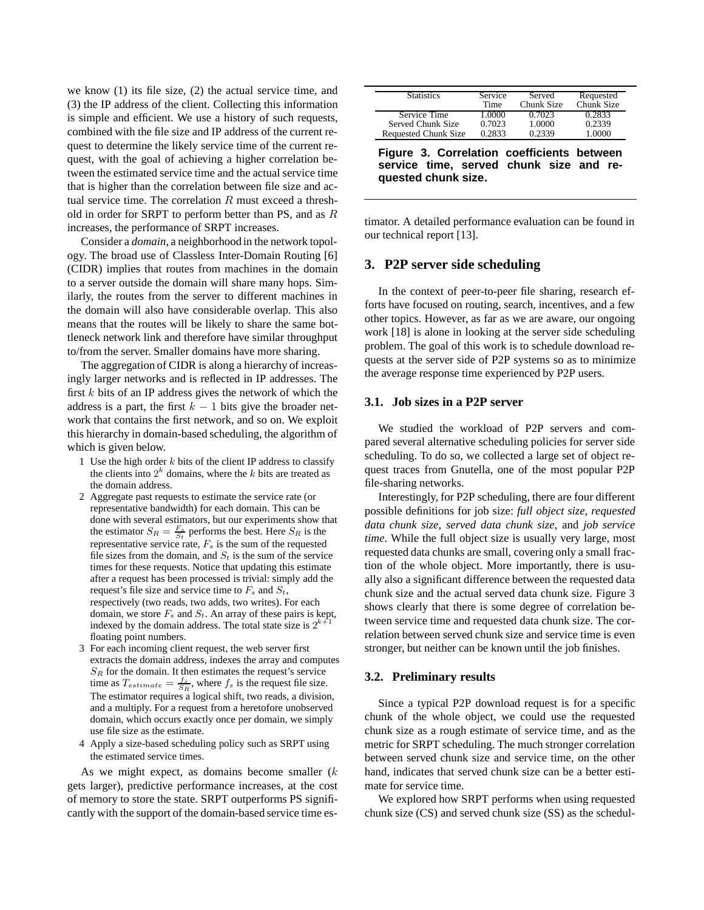we know (1) its file size, (2) the actual service time, and (3) the IP address of the client. Collecting this information is simple and efficient. We use a history of such requests, combined with the file size and IP address of the current request to determine the likely service time of the current request, with the goal of achieving a higher correlation between the estimated service time and the actual service time that is higher than the correlation between file size and actual service time. The correlation *R* must exceed a threshold in order for SRPT to perform better than PS, and as *R* increases, the performance of SRPT increases.

Consider a *domain*, a neighborhood in the network topology. The broad use of Classless Inter-Domain Routing [6] (CIDR) implies that routes from machines in the domain to a server outside the domain will share many hops. Similarly, the routes from the server to different machines in the domain will also have considerable overlap. This also means that the routes will be likely to share the same bottleneck network link and therefore have similar throughput to/from the server. Smaller domains have more sharing.

The aggregation of CIDR is along a hierarchy of increasingly larger networks and is reflected in IP addresses. The first *k* bits of an IP address gives the network of which the address is a part, the first  $k - 1$  bits give the broader network that contains the first network, and so on. We exploit this hierarchy in domain-based scheduling, the algorithm of which is given below.

- 1 Use the high order *k* bits of the client IP address to classify the clients into  $2^k$  domains, where the  $k$  bits are treated as the domain address.
- 2 Aggregate past requests to estimate the service rate (or representative bandwidth) for each domain. This can be done with several estimators, but our experiments show that the estimator  $S_R = \frac{F_s}{S_t}$  performs the best. Here  $S_R$  is the representative service rate,  $F_s$  is the sum of the requested file sizes from the domain, and  $S_t$  is the sum of the service times for these requests. Notice that updating this estimate after a request has been processed is trivial: simply add the request's file size and service time to  $F_s$  and  $S_t$ , respectively (two reads, two adds, two writes). For each domain, we store *F<sup>s</sup>* and *St*. An array of these pairs is kept, indexed by the domain address. The total state size is  $2^k$ floating point numbers.
- 3 For each incoming client request, the web server first extracts the domain address, indexes the array and computes *S<sup>R</sup>* for the domain. It then estimates the request's service time as  $T_{estimate} = \frac{f_s}{S_R}$ , where  $f_s$  is the request file size. The estimator requires a logical shift, two reads, a division, and a multiply. For a request from a heretofore unobserved domain, which occurs exactly once per domain, we simply use file size as the estimate.
- 4 Apply a size-based scheduling policy such as SRPT using the estimated service times.

As we might expect, as domains become smaller (*k* gets larger), predictive performance increases, at the cost of memory to store the state. SRPT outperforms PS significantly with the support of the domain-based service time es-

| <b>Statistics</b>                                                                     | Service<br>Time | Served<br>Chunk Size | Requested<br>Chunk Size |
|---------------------------------------------------------------------------------------|-----------------|----------------------|-------------------------|
| Service Time                                                                          | 1.0000          | 0.7023               | 0.2833                  |
| Served Chunk Size                                                                     | 0.7023          | 1.0000               | 0.2339                  |
| <b>Requested Chunk Size</b>                                                           | 0.2833          | 0.2339               | 1.0000                  |
| Figure 3. Correlation coefficients between<br>service time, served chunk size and re- |                 |                      |                         |
| quested chunk size.                                                                   |                 |                      |                         |

timator. A detailed performance evaluation can be found in our technical report [13].

## **3. P2P server side scheduling**

In the context of peer-to-peer file sharing, research efforts have focused on routing, search, incentives, and a few other topics. However, as far as we are aware, our ongoing work [18] is alone in looking at the server side scheduling problem. The goal of this work is to schedule download requests at the server side of P2P systems so as to minimize the average response time experienced by P2P users.

#### **3.1. Job sizes in a P2P server**

We studied the workload of P2P servers and compared several alternative scheduling policies for server side scheduling. To do so, we collected a large set of object request traces from Gnutella, one of the most popular P2P file-sharing networks.

Interestingly, for P2P scheduling, there are four different possible definitions for job size: *full object size*, *requested data chunk size*, *served data chunk size*, and *job service time*. While the full object size is usually very large, most requested data chunks are small, covering only a small fraction of the whole object. More importantly, there is usually also a significant difference between the requested data chunk size and the actual served data chunk size. Figure 3 shows clearly that there is some degree of correlation between service time and requested data chunk size. The correlation between served chunk size and service time is even stronger, but neither can be known until the job finishes.

#### **3.2. Preliminary results**

Since a typical P2P download request is for a specific chunk of the whole object, we could use the requested chunk size as a rough estimate of service time, and as the metric for SRPT scheduling. The much stronger correlation between served chunk size and service time, on the other hand, indicates that served chunk size can be a better estimate for service time.

We explored how SRPT performs when using requested chunk size (CS) and served chunk size (SS) as the schedul-